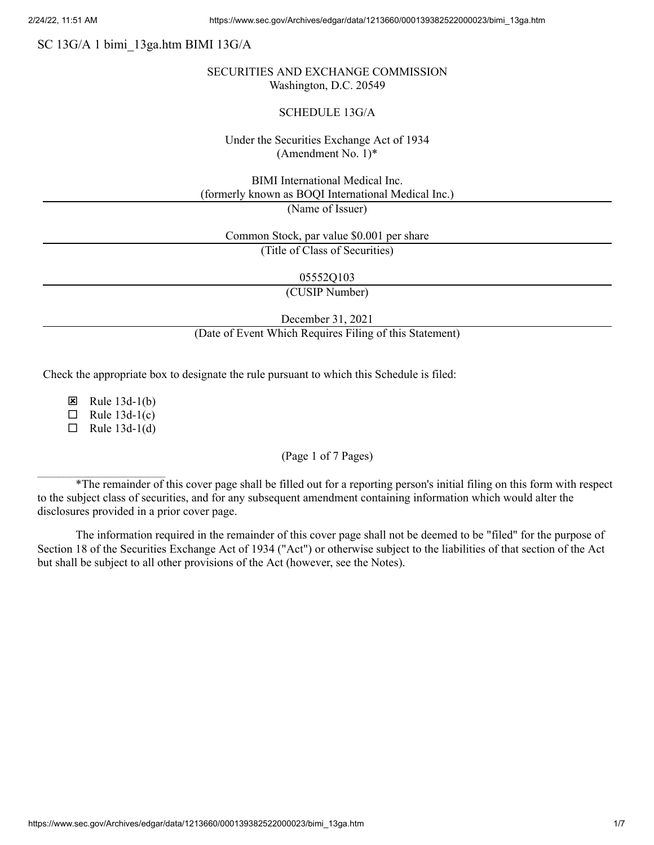# SC 13G/A 1 bimi\_13ga.htm BIMI 13G/A

### SECURITIES AND EXCHANGE COMMISSION Washington, D.C. 20549

#### SCHEDULE 13G/A

## Under the Securities Exchange Act of 1934 (Amendment No. 1)\*

BIMI International Medical Inc. (formerly known as BOQI International Medical Inc.)

(Name of Issuer)

Common Stock, par value \$0.001 per share

(Title of Class of Securities)

05552Q103

(CUSIP Number)

December 31, 2021

(Date of Event Which Requires Filing of this Statement)

Check the appropriate box to designate the rule pursuant to which this Schedule is filed:

 $\boxtimes$  Rule 13d-1(b)

 $\Box$  Rule 13d-1(c)

 $\Box$  Rule 13d-1(d)

#### (Page 1 of 7 Pages)

\*The remainder of this cover page shall be filled out for a reporting person's initial filing on this form with respect to the subject class of securities, and for any subsequent amendment containing information which would alter the disclosures provided in a prior cover page.

The information required in the remainder of this cover page shall not be deemed to be "filed" for the purpose of Section 18 of the Securities Exchange Act of 1934 ("Act") or otherwise subject to the liabilities of that section of the Act but shall be subject to all other provisions of the Act (however, see the Notes).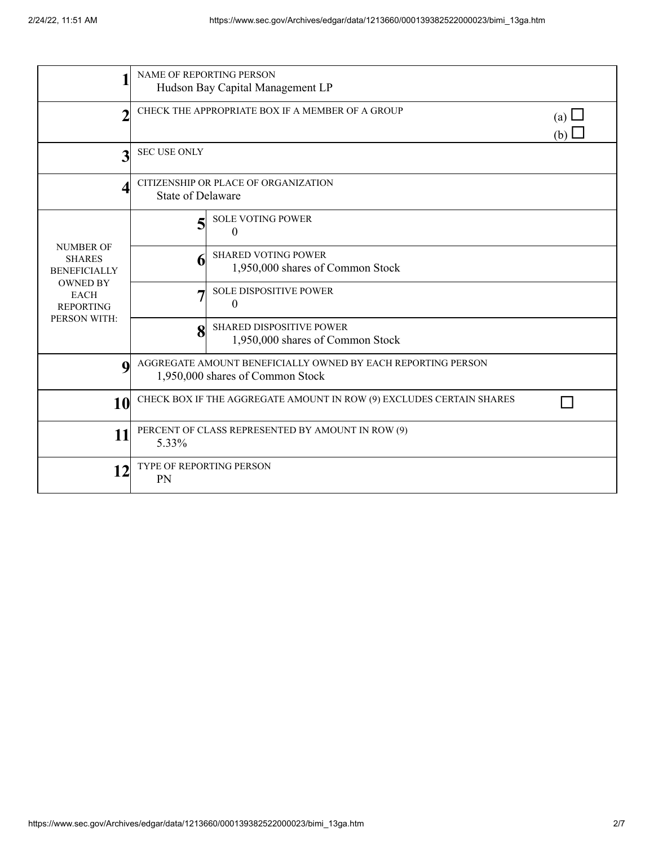| 1                                                                                                                              | <b>NAME OF REPORTING PERSON</b><br>Hudson Bay Capital Management LP                              |                                                                |  |  |
|--------------------------------------------------------------------------------------------------------------------------------|--------------------------------------------------------------------------------------------------|----------------------------------------------------------------|--|--|
| $\overline{2}$                                                                                                                 | CHECK THE APPROPRIATE BOX IF A MEMBER OF A GROUP                                                 | (a) $\Box$<br>(b)                                              |  |  |
| 3                                                                                                                              | <b>SEC USE ONLY</b>                                                                              |                                                                |  |  |
| 4                                                                                                                              | CITIZENSHIP OR PLACE OF ORGANIZATION<br><b>State of Delaware</b>                                 |                                                                |  |  |
| <b>NUMBER OF</b><br><b>SHARES</b><br><b>BENEFICIALLY</b><br><b>OWNED BY</b><br><b>EACH</b><br><b>REPORTING</b><br>PERSON WITH: |                                                                                                  | <b>SOLE VOTING POWER</b><br>$\theta$                           |  |  |
|                                                                                                                                | h                                                                                                | <b>SHARED VOTING POWER</b><br>1,950,000 shares of Common Stock |  |  |
|                                                                                                                                |                                                                                                  | SOLE DISPOSITIVE POWER<br>$\boldsymbol{0}$                     |  |  |
|                                                                                                                                | 8                                                                                                | SHARED DISPOSITIVE POWER<br>1,950,000 shares of Common Stock   |  |  |
| $\mathbf 0$                                                                                                                    | AGGREGATE AMOUNT BENEFICIALLY OWNED BY EACH REPORTING PERSON<br>1,950,000 shares of Common Stock |                                                                |  |  |
| 10                                                                                                                             | CHECK BOX IF THE AGGREGATE AMOUNT IN ROW (9) EXCLUDES CERTAIN SHARES                             |                                                                |  |  |
| 11                                                                                                                             | PERCENT OF CLASS REPRESENTED BY AMOUNT IN ROW (9)<br>5.33%                                       |                                                                |  |  |
| 12                                                                                                                             | TYPE OF REPORTING PERSON<br>PN                                                                   |                                                                |  |  |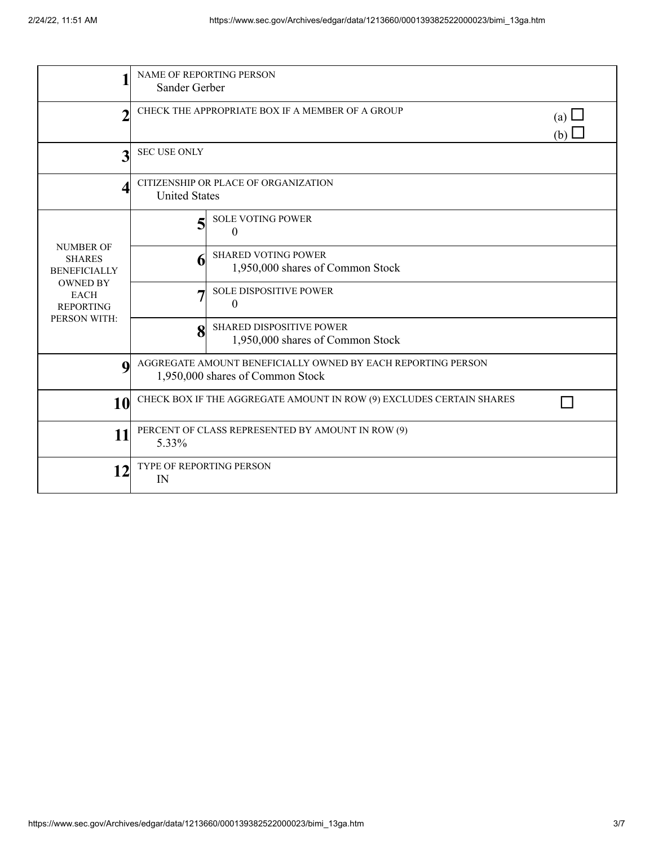|                                                                                                                                | <b>NAME OF REPORTING PERSON</b>                                                                  |                                                                     |  |  |
|--------------------------------------------------------------------------------------------------------------------------------|--------------------------------------------------------------------------------------------------|---------------------------------------------------------------------|--|--|
|                                                                                                                                | Sander Gerber                                                                                    |                                                                     |  |  |
| $\overline{2}$                                                                                                                 | CHECK THE APPROPRIATE BOX IF A MEMBER OF A GROUP                                                 | (a) $\Box$<br>(b)                                                   |  |  |
| 3                                                                                                                              | <b>SEC USE ONLY</b>                                                                              |                                                                     |  |  |
| Δ                                                                                                                              | CITIZENSHIP OR PLACE OF ORGANIZATION<br><b>United States</b>                                     |                                                                     |  |  |
| <b>NUMBER OF</b><br><b>SHARES</b><br><b>BENEFICIALLY</b><br><b>OWNED BY</b><br><b>EACH</b><br><b>REPORTING</b><br>PERSON WITH: | 5                                                                                                | <b>SOLE VOTING POWER</b><br>$\Omega$                                |  |  |
|                                                                                                                                |                                                                                                  | <b>SHARED VOTING POWER</b><br>1,950,000 shares of Common Stock      |  |  |
|                                                                                                                                |                                                                                                  | <b>SOLE DISPOSITIVE POWER</b><br>$\boldsymbol{0}$                   |  |  |
|                                                                                                                                | 8                                                                                                | <b>SHARED DISPOSITIVE POWER</b><br>1,950,000 shares of Common Stock |  |  |
| $\bf{Q}$                                                                                                                       | AGGREGATE AMOUNT BENEFICIALLY OWNED BY EACH REPORTING PERSON<br>1,950,000 shares of Common Stock |                                                                     |  |  |
| 10                                                                                                                             | CHECK BOX IF THE AGGREGATE AMOUNT IN ROW (9) EXCLUDES CERTAIN SHARES                             |                                                                     |  |  |
| 11                                                                                                                             | PERCENT OF CLASS REPRESENTED BY AMOUNT IN ROW (9)<br>5.33%                                       |                                                                     |  |  |
| 12                                                                                                                             | <b>TYPE OF REPORTING PERSON</b><br>IN                                                            |                                                                     |  |  |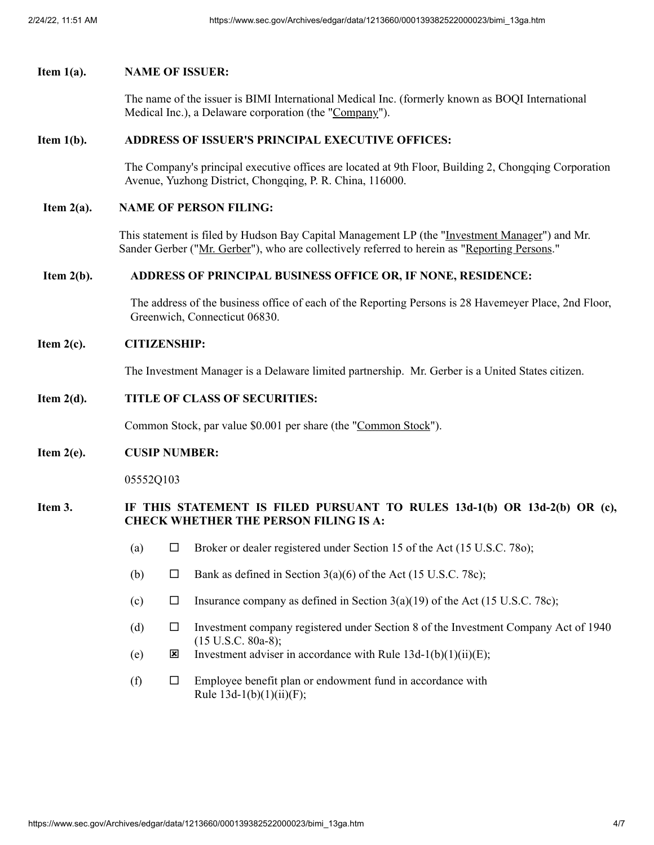### **Item 1(a). NAME OF ISSUER:**

The name of the issuer is BIMI International Medical Inc. (formerly known as BOQI International Medical Inc.), a Delaware corporation (the "Company").

### **Item 1(b). ADDRESS OF ISSUER'S PRINCIPAL EXECUTIVE OFFICES:**

The Company's principal executive offices are located at 9th Floor, Building 2, Chongqing Corporation Avenue, Yuzhong District, Chongqing, P. R. China, 116000.

#### **Item 2(a). NAME OF PERSON FILING:**

This statement is filed by Hudson Bay Capital Management LP (the "Investment Manager") and Mr. Sander Gerber ("Mr. Gerber"), who are collectively referred to herein as "Reporting Persons."

#### **Item 2(b). ADDRESS OF PRINCIPAL BUSINESS OFFICE OR, IF NONE, RESIDENCE:**

The address of the business office of each of the Reporting Persons is 28 Havemeyer Place, 2nd Floor, Greenwich, Connecticut 06830.

#### **Item 2(c). CITIZENSHIP:**

The Investment Manager is a Delaware limited partnership. Mr. Gerber is a United States citizen.

## **Item 2(d). TITLE OF CLASS OF SECURITIES:**

Common Stock, par value \$0.001 per share (the "Common Stock").

#### **Item 2(e). CUSIP NUMBER:**

05552Q103

## **Item 3. IF THIS STATEMENT IS FILED PURSUANT TO RULES 13d-1(b) OR 13d-2(b) OR (c), CHECK WHETHER THE PERSON FILING IS A:**

- (a)  $\Box$  Broker or dealer registered under Section 15 of the Act (15 U.S.C. 780);
- (b)  $\Box$  Bank as defined in Section 3(a)(6) of the Act (15 U.S.C. 78c);
- (c)  $\Box$  Insurance company as defined in Section 3(a)(19) of the Act (15 U.S.C. 78c);
- (d) ¨ Investment company registered under Section 8 of the Investment Company Act of 1940 (15 U.S.C. 80a-8);
- (e)  $\qquad \qquad \boxtimes$  Investment adviser in accordance with Rule 13d-1(b)(1)(ii)(E);
- (f)  $\square$  Employee benefit plan or endowment fund in accordance with Rule  $13d-1(b)(1)(ii)(F)$ ;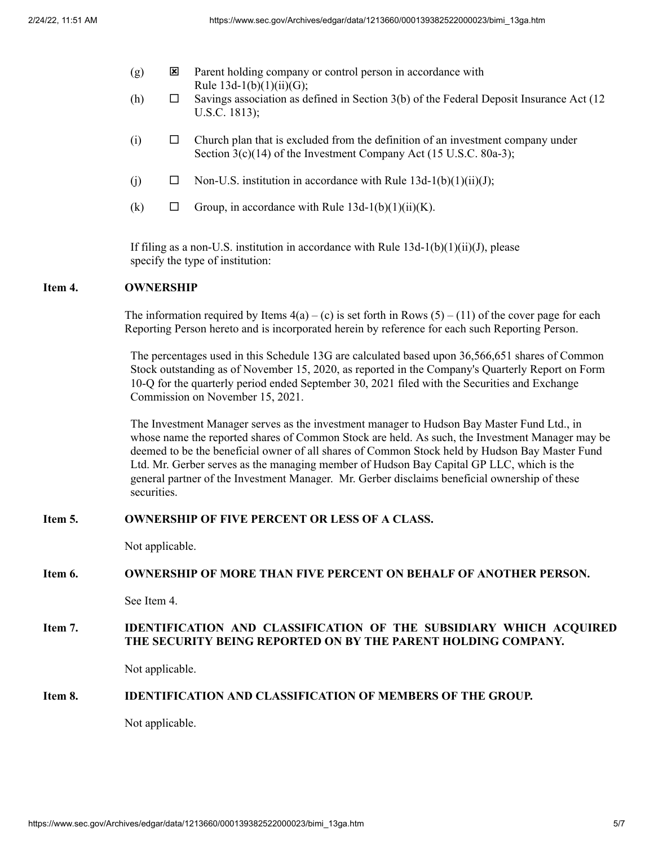- $(g)$  **E** Parent holding company or control person in accordance with Rule  $13d-1(b)(1)(ii)(G);$
- (h)  $\Box$  Savings association as defined in Section 3(b) of the Federal Deposit Insurance Act (12) U.S.C. 1813);
- $(i)$   $\square$  Church plan that is excluded from the definition of an investment company under Section 3(c)(14) of the Investment Company Act (15 U.S.C. 80a-3);
- (j)  $\Box$  Non-U.S. institution in accordance with Rule 13d-1(b)(1)(ii)(J);
- (k)  $\Box$  Group, in accordance with Rule 13d-1(b)(1)(ii)(K).

If filing as a non-U.S. institution in accordance with Rule  $13d-1(b)(1)(ii)(J)$ , please specify the type of institution:

### **Item 4. OWNERSHIP**

The information required by Items  $4(a) - (c)$  is set forth in Rows  $(5) - (11)$  of the cover page for each Reporting Person hereto and is incorporated herein by reference for each such Reporting Person.

The percentages used in this Schedule 13G are calculated based upon 36,566,651 shares of Common Stock outstanding as of November 15, 2020, as reported in the Company's Quarterly Report on Form 10-Q for the quarterly period ended September 30, 2021 filed with the Securities and Exchange Commission on November 15, 2021.

The Investment Manager serves as the investment manager to Hudson Bay Master Fund Ltd., in whose name the reported shares of Common Stock are held. As such, the Investment Manager may be deemed to be the beneficial owner of all shares of Common Stock held by Hudson Bay Master Fund Ltd. Mr. Gerber serves as the managing member of Hudson Bay Capital GP LLC, which is the general partner of the Investment Manager. Mr. Gerber disclaims beneficial ownership of these securities.

# **Item 5. OWNERSHIP OF FIVE PERCENT OR LESS OF A CLASS.**

Not applicable.

#### **Item 6. OWNERSHIP OF MORE THAN FIVE PERCENT ON BEHALF OF ANOTHER PERSON.**

See Item 4.

# **Item 7. IDENTIFICATION AND CLASSIFICATION OF THE SUBSIDIARY WHICH ACQUIRED THE SECURITY BEING REPORTED ON BY THE PARENT HOLDING COMPANY.**

Not applicable.

## **Item 8. IDENTIFICATION AND CLASSIFICATION OF MEMBERS OF THE GROUP.**

Not applicable.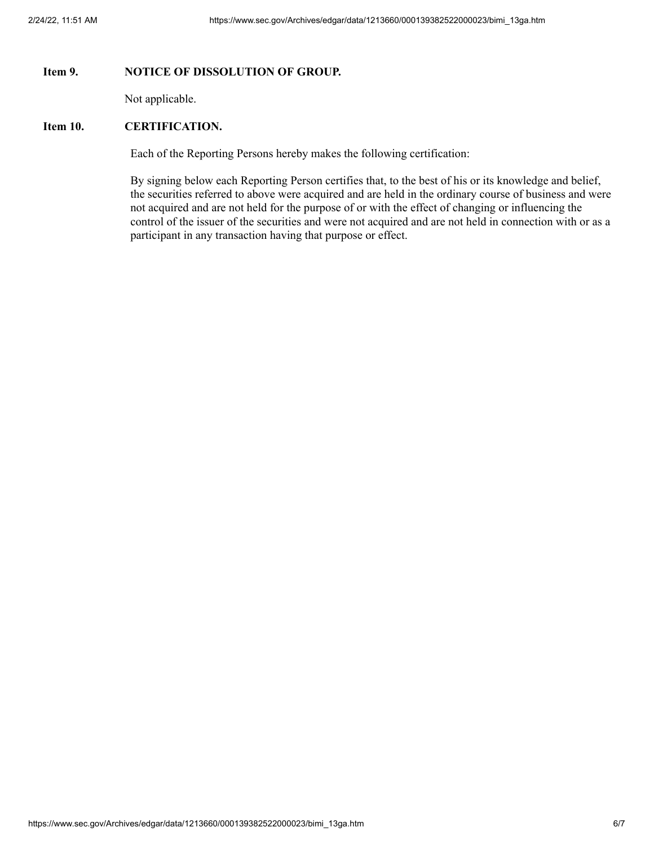## **Item 9. NOTICE OF DISSOLUTION OF GROUP.**

Not applicable.

## **Item 10. CERTIFICATION.**

Each of the Reporting Persons hereby makes the following certification:

By signing below each Reporting Person certifies that, to the best of his or its knowledge and belief, the securities referred to above were acquired and are held in the ordinary course of business and were not acquired and are not held for the purpose of or with the effect of changing or influencing the control of the issuer of the securities and were not acquired and are not held in connection with or as a participant in any transaction having that purpose or effect.